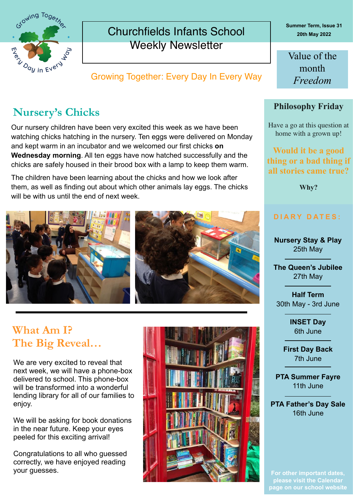

### Churchfields Infants School Weekly Newsletter

Growing Together: Every Day In Every Way

## **Nursery's Chicks**

Our nursery children have been very excited this week as we have been watching chicks hatching in the nursery. Ten eggs were delivered on Monday and kept warm in an incubator and we welcomed our first chicks **on Wednesday morning**. All ten eggs have now hatched successfully and the chicks are safely housed in their brood box with a lamp to keep them warm.

The children have been learning about the chicks and how we look after them, as well as finding out about which other animals lay eggs. The chicks will be with us until the end of next week.



## **What Am I? The Big Reveal…**

We are very excited to reveal that next week, we will have a phone-box delivered to school. This phone-box will be transformed into a wonderful lending library for all of our families to enjoy.

We will be asking for book donations in the near future. Keep your eyes peeled for this exciting arrival!

Congratulations to all who guessed correctly, we have enjoyed reading your guesses.



**Summer Term, Issue 31 20th May 2022**

Value of the month *Freedom*

#### **Philosophy Friday**

Have a go at this question at home with a grown up!

**Would it be a good thing or a bad thing if all stories came true?**

**Why?**

### **DIARY DATES:**

**Nursery Stay & Play** 25th May

**The Queen's Jubilee**  27th May

**Half Term** 30th May - 3rd June

> **INSET Day** 6th June

**First Day Back** 7th June

**PTA Summer Fayre** 11th June

**PTA Father's Day Sale** 16th June

**For other important dates, please visit the Calendar page on our school website**